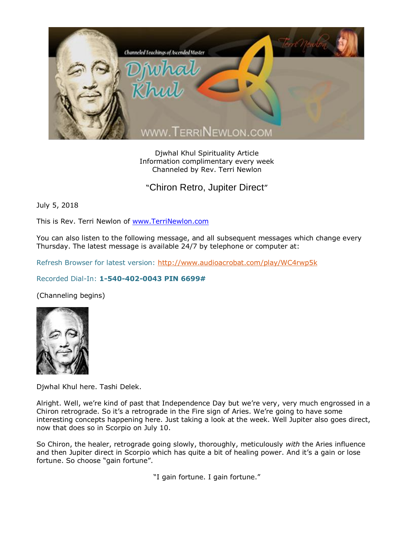

Djwhal Khul Spirituality Article Information complimentary every week Channeled by Rev. Terri Newlon

"Chiron Retro, Jupiter Direct"

July 5, 2018

This is Rev. Terri Newlon of [www.TerriNewlon.com](http://www.terrinewlon.com/)

You can also listen to the following message, and all subsequent messages which change every Thursday. The latest message is available 24/7 by telephone or computer at:

Refresh Browser for latest version:<http://www.audioacrobat.com/play/WC4rwp5k>

## Recorded Dial-In: **1-540-402-0043 PIN 6699#**

(Channeling begins)



Djwhal Khul here. Tashi Delek.

Alright. Well, we're kind of past that Independence Day but we're very, very much engrossed in a Chiron retrograde. So it's a retrograde in the Fire sign of Aries. We're going to have some interesting concepts happening here. Just taking a look at the week. Well Jupiter also goes direct, now that does so in Scorpio on July 10.

So Chiron, the healer, retrograde going slowly, thoroughly, meticulously *with* the Aries influence and then Jupiter direct in Scorpio which has quite a bit of healing power. And it's a gain or lose fortune. So choose "gain fortune".

"I gain fortune. I gain fortune."